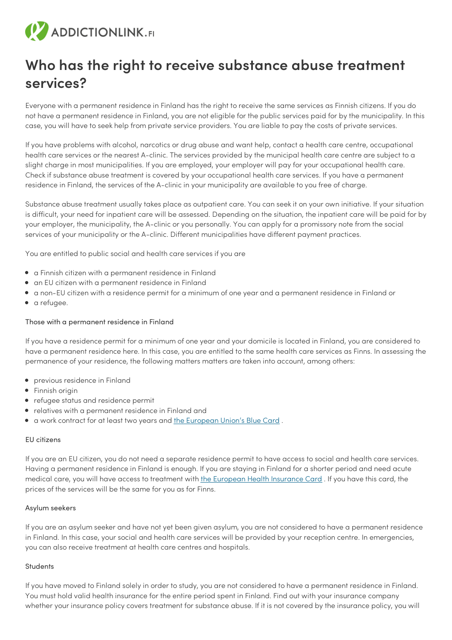# (V ADDICTIONLINK.FI

# **Who has the right to receive substance abuse treatment services?**

Everyone with a permanent residence in Finland has the right to receive the same services as Finnish citizens. If you do not have a permanent residence in Finland, you are not eligible for the public services paid for by the municipality. In this case, you will have to seek help from private service providers. You are liable to pay the costs of private services.

If you have problems with alcohol, narcotics or drug abuse and want help, contact a health care centre, occupational health care services or the nearest A-clinic. The services provided by the municipal health care centre are subject to a slight charge in most municipalities. If you are employed, your employer will pay for your occupational health care. Check if substance abuse treatment is covered by your occupational health care services. If you have a permanent residence in Finland, the services of the A-clinic in your municipality are available to you free of charge.

Substance abuse treatment usually takes place as outpatient care. You can seek it on your own initiative. If your situation is difficult, your need for inpatient care will be assessed. Depending on the situation, the inpatient care will be paid for by your employer, the municipality, the A-clinic or you personally. You can apply for a promissory note from the social services of your municipality or the A-clinic. Different municipalities have different payment practices.

You are entitled to public social and health care services if you are

- a Finnish citizen with a permanent residence in Finland
- an EU citizen with a permanent residence in Finland
- a non-EU citizen with a residence permit for a minimum of one year and a permanent residence in Finland or
- a refugee.

# Those with a permanent residence in Finland

If you have a residence permit for a minimum of one year and your domicile is located in Finland, you are considered to have a permanent residence here. In this case, you are entitled to the same health care services as Finns. In assessing the permanence of your residence, the following matters matters are taken into account, among others:

- previous residence in Finland
- Finnish origin
- refugee status and residence permit
- relatives with a permanent residence in Finland and
- a work contract for at least two years and the [European](http://www.migri.fi/working_in_finland/an_employee_and_work/eu_blue_card) Union's Blue Card .

#### EU citizens

If you are an EU citizen, you do not need a separate residence permit to have access to social and health care services. Having a permanent residence in Finland is enough. If you are staying in Finland for a shorter period and need acute medical care, you will have access to treatment with the [European](http://ec.europa.eu/social/main.jsp?catId=559) Health Insurance Card. If you have this card, the prices of the services will be the same for you as for Finns.

#### Asylum seekers

If you are an asylum seeker and have not yet been given asylum, you are not considered to have a permanent residence in Finland. In this case, your social and health care services will be provided by your reception centre. In emergencies, you can also receive treatment at health care centres and hospitals.

#### **Students**

If you have moved to Finland solely in order to study, you are not considered to have a permanent residence in Finland. You must hold valid health insurance for the entire period spent in Finland. Find out with your insurance company whether your insurance policy covers treatment for substance abuse. If it is not covered by the insurance policy, you will